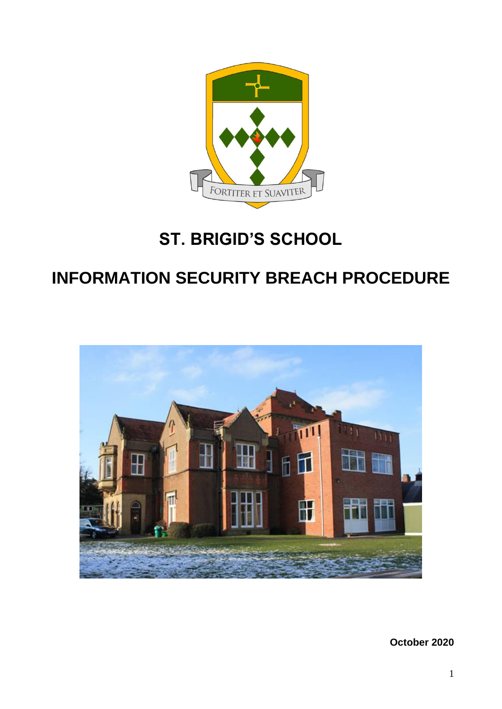

# **ST. BRIGID'S SCHOOL**

# **INFORMATION SECURITY BREACH PROCEDURE**



**October 2020**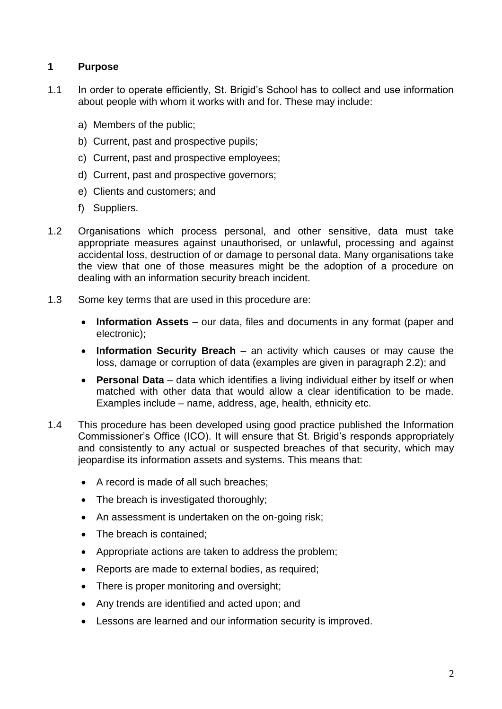## **1 Purpose**

- 1.1 In order to operate efficiently, St. Brigid's School has to collect and use information about people with whom it works with and for. These may include:
	- a) Members of the public;
	- b) Current, past and prospective pupils;
	- c) Current, past and prospective employees;
	- d) Current, past and prospective governors;
	- e) Clients and customers; and
	- f) Suppliers.
- 1.2 Organisations which process personal, and other sensitive, data must take appropriate measures against unauthorised, or unlawful, processing and against accidental loss, destruction of or damage to personal data. Many organisations take the view that one of those measures might be the adoption of a procedure on dealing with an information security breach incident.
- 1.3 Some key terms that are used in this procedure are:
	- **Information Assets** our data, files and documents in any format (paper and electronic);
	- **Information Security Breach**  an activity which causes or may cause the loss, damage or corruption of data (examples are given in paragraph 2.2); and
	- **Personal Data**  data which identifies a living individual either by itself or when matched with other data that would allow a clear identification to be made. Examples include – name, address, age, health, ethnicity etc.
- 1.4 This procedure has been developed using good practice published the Information Commissioner's Office (ICO). It will ensure that St. Brigid's responds appropriately and consistently to any actual or suspected breaches of that security, which may jeopardise its information assets and systems. This means that:
	- A record is made of all such breaches;
	- The breach is investigated thoroughly;
	- An assessment is undertaken on the on-going risk;
	- The breach is contained:
	- Appropriate actions are taken to address the problem;
	- Reports are made to external bodies, as required;
	- There is proper monitoring and oversight:
	- Any trends are identified and acted upon; and
	- Lessons are learned and our information security is improved.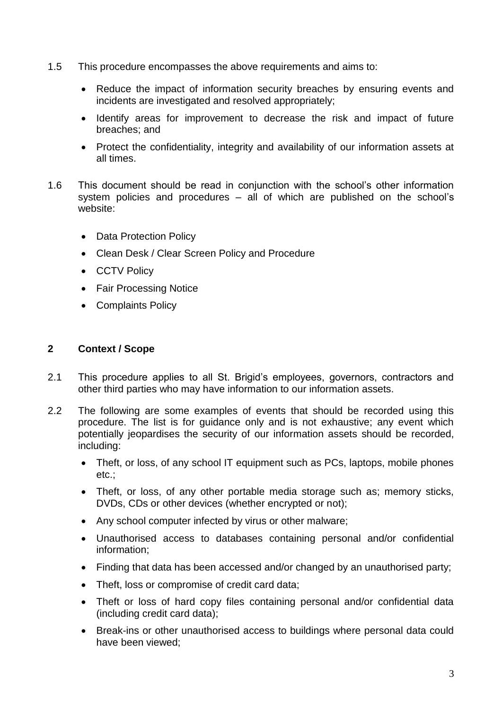- 1.5 This procedure encompasses the above requirements and aims to:
	- Reduce the impact of information security breaches by ensuring events and incidents are investigated and resolved appropriately;
	- Identify areas for improvement to decrease the risk and impact of future breaches; and
	- Protect the confidentiality, integrity and availability of our information assets at all times.
- 1.6 This document should be read in conjunction with the school's other information system policies and procedures – all of which are published on the school's website:
	- Data Protection Policy
	- Clean Desk / Clear Screen Policy and Procedure
	- CCTV Policy
	- Fair Processing Notice
	- Complaints Policy

# **2 Context / Scope**

- 2.1 This procedure applies to all St. Brigid's employees, governors, contractors and other third parties who may have information to our information assets.
- 2.2 The following are some examples of events that should be recorded using this procedure. The list is for guidance only and is not exhaustive; any event which potentially jeopardises the security of our information assets should be recorded, including:
	- Theft, or loss, of any school IT equipment such as PCs, laptops, mobile phones etc.;
	- Theft, or loss, of any other portable media storage such as; memory sticks, DVDs, CDs or other devices (whether encrypted or not);
	- Any school computer infected by virus or other malware;
	- Unauthorised access to databases containing personal and/or confidential information;
	- Finding that data has been accessed and/or changed by an unauthorised party;
	- Theft, loss or compromise of credit card data;
	- Theft or loss of hard copy files containing personal and/or confidential data (including credit card data);
	- Break-ins or other unauthorised access to buildings where personal data could have been viewed;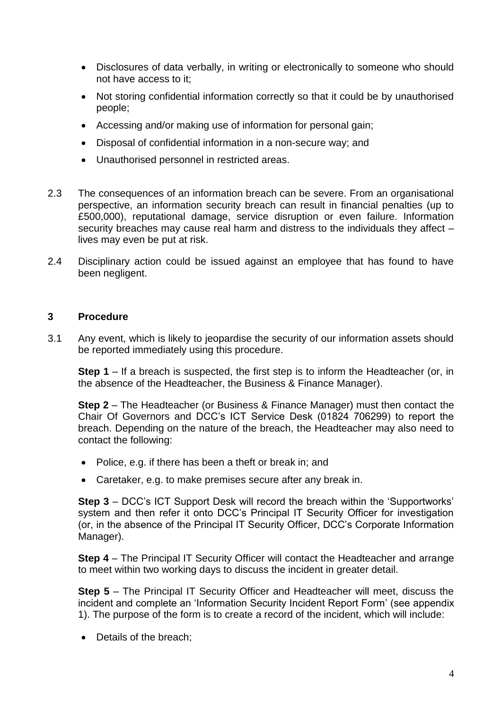- Disclosures of data verbally, in writing or electronically to someone who should not have access to it;
- Not storing confidential information correctly so that it could be by unauthorised people;
- Accessing and/or making use of information for personal gain;
- Disposal of confidential information in a non-secure way; and
- Unauthorised personnel in restricted areas.
- 2.3 The consequences of an information breach can be severe. From an organisational perspective, an information security breach can result in financial penalties (up to £500,000), reputational damage, service disruption or even failure. Information security breaches may cause real harm and distress to the individuals they affect – lives may even be put at risk.
- 2.4 Disciplinary action could be issued against an employee that has found to have been negligent.

#### **3 Procedure**

3.1 Any event, which is likely to jeopardise the security of our information assets should be reported immediately using this procedure.

**Step 1** – If a breach is suspected, the first step is to inform the Headteacher (or, in the absence of the Headteacher, the Business & Finance Manager).

**Step 2** – The Headteacher (or Business & Finance Manager) must then contact the Chair Of Governors and DCC's ICT Service Desk (01824 706299) to report the breach. Depending on the nature of the breach, the Headteacher may also need to contact the following:

- Police, e.g. if there has been a theft or break in; and
- Caretaker, e.g. to make premises secure after any break in.

**Step 3** – DCC's ICT Support Desk will record the breach within the 'Supportworks' system and then refer it onto DCC's Principal IT Security Officer for investigation (or, in the absence of the Principal IT Security Officer, DCC's Corporate Information Manager).

**Step 4** – The Principal IT Security Officer will contact the Headteacher and arrange to meet within two working days to discuss the incident in greater detail.

**Step 5** – The Principal IT Security Officer and Headteacher will meet, discuss the incident and complete an 'Information Security Incident Report Form' (see appendix 1). The purpose of the form is to create a record of the incident, which will include:

• Details of the breach;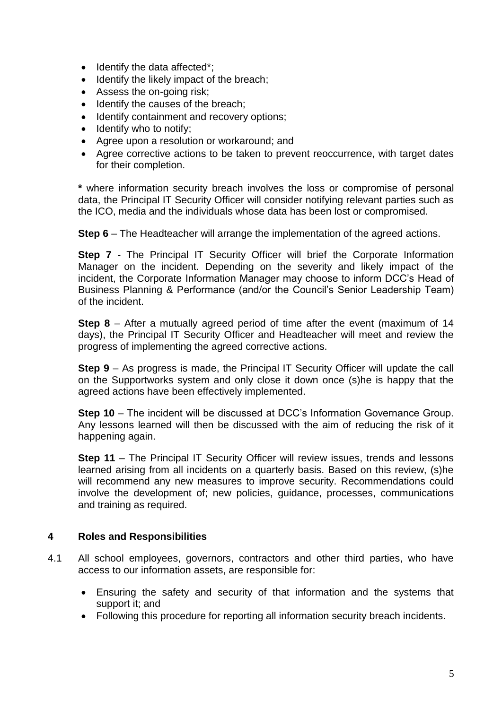- Identify the data affected\*;
- Identify the likely impact of the breach;
- Assess the on-going risk;
- Identify the causes of the breach;
- Identify containment and recovery options;
- Identify who to notify;
- Agree upon a resolution or workaround; and
- Agree corrective actions to be taken to prevent reoccurrence, with target dates for their completion.

**\*** where information security breach involves the loss or compromise of personal data, the Principal IT Security Officer will consider notifying relevant parties such as the ICO, media and the individuals whose data has been lost or compromised.

**Step 6** – The Headteacher will arrange the implementation of the agreed actions.

**Step 7** - The Principal IT Security Officer will brief the Corporate Information Manager on the incident. Depending on the severity and likely impact of the incident, the Corporate Information Manager may choose to inform DCC's Head of Business Planning & Performance (and/or the Council's Senior Leadership Team) of the incident.

**Step 8** – After a mutually agreed period of time after the event (maximum of 14 days), the Principal IT Security Officer and Headteacher will meet and review the progress of implementing the agreed corrective actions.

**Step 9** – As progress is made, the Principal IT Security Officer will update the call on the Supportworks system and only close it down once (s)he is happy that the agreed actions have been effectively implemented.

**Step 10** – The incident will be discussed at DCC's Information Governance Group. Any lessons learned will then be discussed with the aim of reducing the risk of it happening again.

**Step 11** – The Principal IT Security Officer will review issues, trends and lessons learned arising from all incidents on a quarterly basis. Based on this review, (s)he will recommend any new measures to improve security. Recommendations could involve the development of; new policies, guidance, processes, communications and training as required.

#### **4 Roles and Responsibilities**

- 4.1 All school employees, governors, contractors and other third parties, who have access to our information assets, are responsible for:
	- Ensuring the safety and security of that information and the systems that support it; and
	- Following this procedure for reporting all information security breach incidents.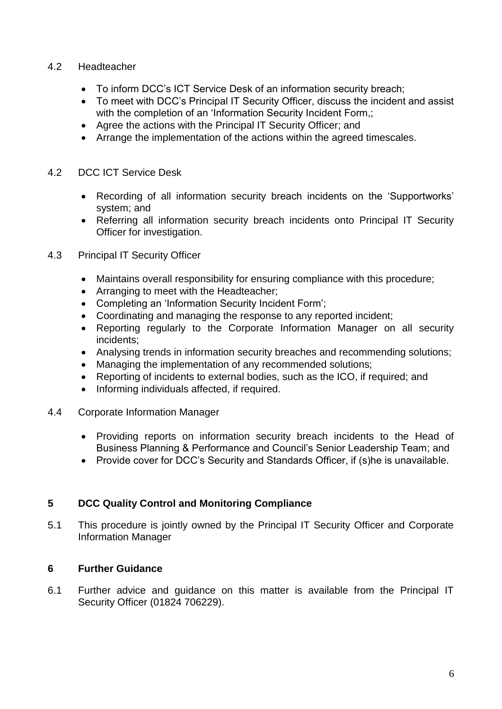#### 4.2 Headteacher

- To inform DCC's ICT Service Desk of an information security breach;
- To meet with DCC's Principal IT Security Officer, discuss the incident and assist with the completion of an 'Information Security Incident Form,;
- Agree the actions with the Principal IT Security Officer; and
- Arrange the implementation of the actions within the agreed timescales.

#### 4.2 DCC ICT Service Desk

- Recording of all information security breach incidents on the 'Supportworks' system; and
- Referring all information security breach incidents onto Principal IT Security Officer for investigation.
- 4.3 Principal IT Security Officer
	- Maintains overall responsibility for ensuring compliance with this procedure;
	- Arranging to meet with the Headteacher;
	- Completing an 'Information Security Incident Form';
	- Coordinating and managing the response to any reported incident;
	- Reporting regularly to the Corporate Information Manager on all security incidents;
	- Analysing trends in information security breaches and recommending solutions;
	- Managing the implementation of any recommended solutions;
	- Reporting of incidents to external bodies, such as the ICO, if required; and
	- Informing individuals affected, if required.
- 4.4 Corporate Information Manager
	- Providing reports on information security breach incidents to the Head of Business Planning & Performance and Council's Senior Leadership Team; and
	- Provide cover for DCC's Security and Standards Officer, if (s)he is unavailable.

## **5 DCC Quality Control and Monitoring Compliance**

5.1 This procedure is jointly owned by the Principal IT Security Officer and Corporate Information Manager

## **6 Further Guidance**

6.1 Further advice and guidance on this matter is available from the Principal IT Security Officer (01824 706229).